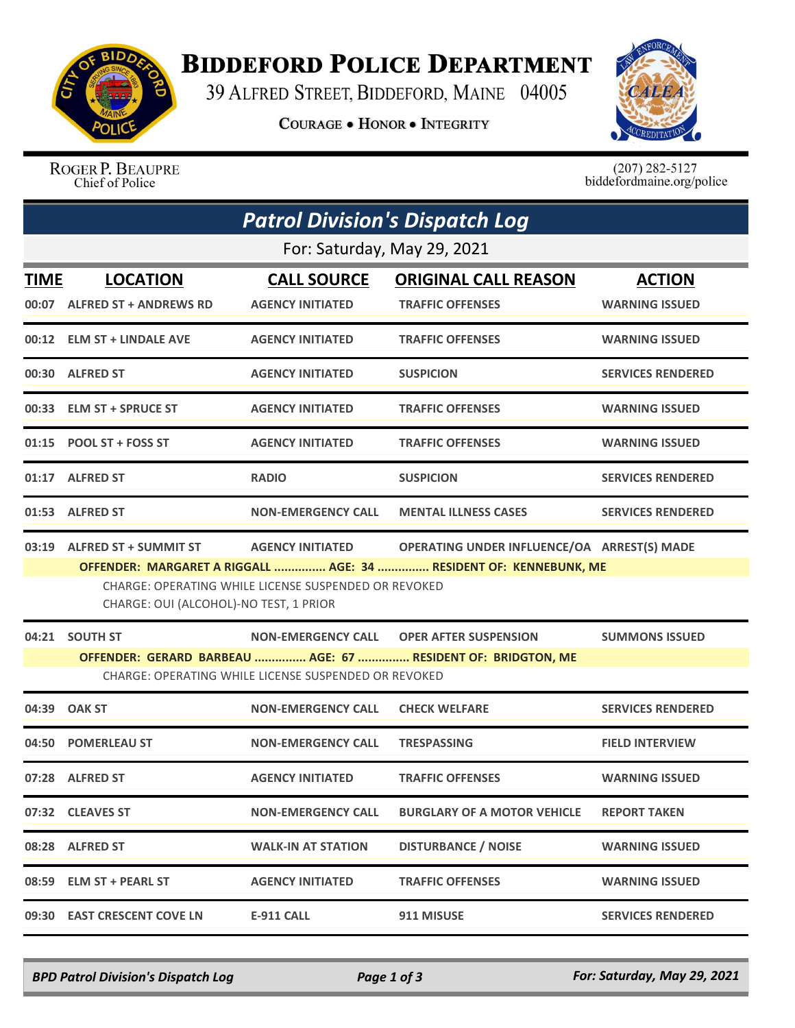

## **BIDDEFORD POLICE DEPARTMENT**

39 ALFRED STREET, BIDDEFORD, MAINE 04005

**COURAGE . HONOR . INTEGRITY** 



ROGER P. BEAUPRE Chief of Police

 $(207)$  282-5127<br>biddefordmaine.org/police

| <b>Patrol Division's Dispatch Log</b> |                                                                                                                                                                                                                                                                    |                                                      |                                                                                                          |                                        |  |  |  |  |
|---------------------------------------|--------------------------------------------------------------------------------------------------------------------------------------------------------------------------------------------------------------------------------------------------------------------|------------------------------------------------------|----------------------------------------------------------------------------------------------------------|----------------------------------------|--|--|--|--|
| For: Saturday, May 29, 2021           |                                                                                                                                                                                                                                                                    |                                                      |                                                                                                          |                                        |  |  |  |  |
| <b>TIME</b>                           | <b>LOCATION</b><br>00:07 ALFRED ST + ANDREWS RD                                                                                                                                                                                                                    | <b>CALL SOURCE</b><br><b>AGENCY INITIATED</b>        | <b>ORIGINAL CALL REASON</b><br><b>TRAFFIC OFFENSES</b>                                                   | <b>ACTION</b><br><b>WARNING ISSUED</b> |  |  |  |  |
|                                       | 00:12 ELM ST + LINDALE AVE                                                                                                                                                                                                                                         | <b>AGENCY INITIATED</b>                              | <b>TRAFFIC OFFENSES</b>                                                                                  | <b>WARNING ISSUED</b>                  |  |  |  |  |
|                                       | 00:30 ALFRED ST                                                                                                                                                                                                                                                    | <b>AGENCY INITIATED</b>                              | <b>SUSPICION</b>                                                                                         | <b>SERVICES RENDERED</b>               |  |  |  |  |
|                                       | 00:33 ELM ST + SPRUCE ST                                                                                                                                                                                                                                           | <b>AGENCY INITIATED</b>                              | <b>TRAFFIC OFFENSES</b>                                                                                  | <b>WARNING ISSUED</b>                  |  |  |  |  |
|                                       | 01:15 POOL ST + FOSS ST                                                                                                                                                                                                                                            | <b>AGENCY INITIATED</b>                              | <b>TRAFFIC OFFENSES</b>                                                                                  | <b>WARNING ISSUED</b>                  |  |  |  |  |
|                                       | 01:17 ALFRED ST                                                                                                                                                                                                                                                    | <b>RADIO</b>                                         | <b>SUSPICION</b>                                                                                         | <b>SERVICES RENDERED</b>               |  |  |  |  |
|                                       | 01:53 ALFRED ST                                                                                                                                                                                                                                                    | <b>NON-EMERGENCY CALL</b>                            | <b>MENTAL ILLNESS CASES</b>                                                                              | <b>SERVICES RENDERED</b>               |  |  |  |  |
|                                       | AGENCY INITIATED OPERATING UNDER INFLUENCE/OA ARREST(S) MADE<br>03:19 ALFRED ST + SUMMIT ST<br>OFFENDER: MARGARET A RIGGALL  AGE: 34  RESIDENT OF: KENNEBUNK, ME<br>CHARGE: OPERATING WHILE LICENSE SUSPENDED OR REVOKED<br>CHARGE: OUI (ALCOHOL)-NO TEST, 1 PRIOR |                                                      |                                                                                                          |                                        |  |  |  |  |
|                                       | 04:21 SOUTH ST                                                                                                                                                                                                                                                     | CHARGE: OPERATING WHILE LICENSE SUSPENDED OR REVOKED | NON-EMERGENCY CALL OPER AFTER SUSPENSION<br>OFFENDER: GERARD BARBEAU  AGE: 67  RESIDENT OF: BRIDGTON, ME | <b>SUMMONS ISSUED</b>                  |  |  |  |  |
| 04:39                                 | <b>OAK ST</b>                                                                                                                                                                                                                                                      | <b>NON-EMERGENCY CALL</b>                            | <b>CHECK WELFARE</b>                                                                                     | <b>SERVICES RENDERED</b>               |  |  |  |  |
|                                       | 04:50 POMERLEAU ST                                                                                                                                                                                                                                                 | <b>NON-EMERGENCY CALL</b>                            | <b>TRESPASSING</b>                                                                                       | <b>FIELD INTERVIEW</b>                 |  |  |  |  |
|                                       | 07:28 ALFRED ST                                                                                                                                                                                                                                                    | <b>AGENCY INITIATED</b>                              | <b>TRAFFIC OFFENSES</b>                                                                                  | <b>WARNING ISSUED</b>                  |  |  |  |  |
|                                       | 07:32 CLEAVES ST                                                                                                                                                                                                                                                   | <b>NON-EMERGENCY CALL</b>                            | <b>BURGLARY OF A MOTOR VEHICLE</b>                                                                       | <b>REPORT TAKEN</b>                    |  |  |  |  |
|                                       | 08:28 ALFRED ST                                                                                                                                                                                                                                                    | <b>WALK-IN AT STATION</b>                            | <b>DISTURBANCE / NOISE</b>                                                                               | <b>WARNING ISSUED</b>                  |  |  |  |  |
| 08:59                                 | <b>ELM ST + PEARL ST</b>                                                                                                                                                                                                                                           | <b>AGENCY INITIATED</b>                              | <b>TRAFFIC OFFENSES</b>                                                                                  | <b>WARNING ISSUED</b>                  |  |  |  |  |
|                                       | 09:30 EAST CRESCENT COVE LN                                                                                                                                                                                                                                        | <b>E-911 CALL</b>                                    | 911 MISUSE                                                                                               | <b>SERVICES RENDERED</b>               |  |  |  |  |

*BPD Patrol Division's Dispatch Log Page 1 of 3 For: Saturday, May 29, 2021*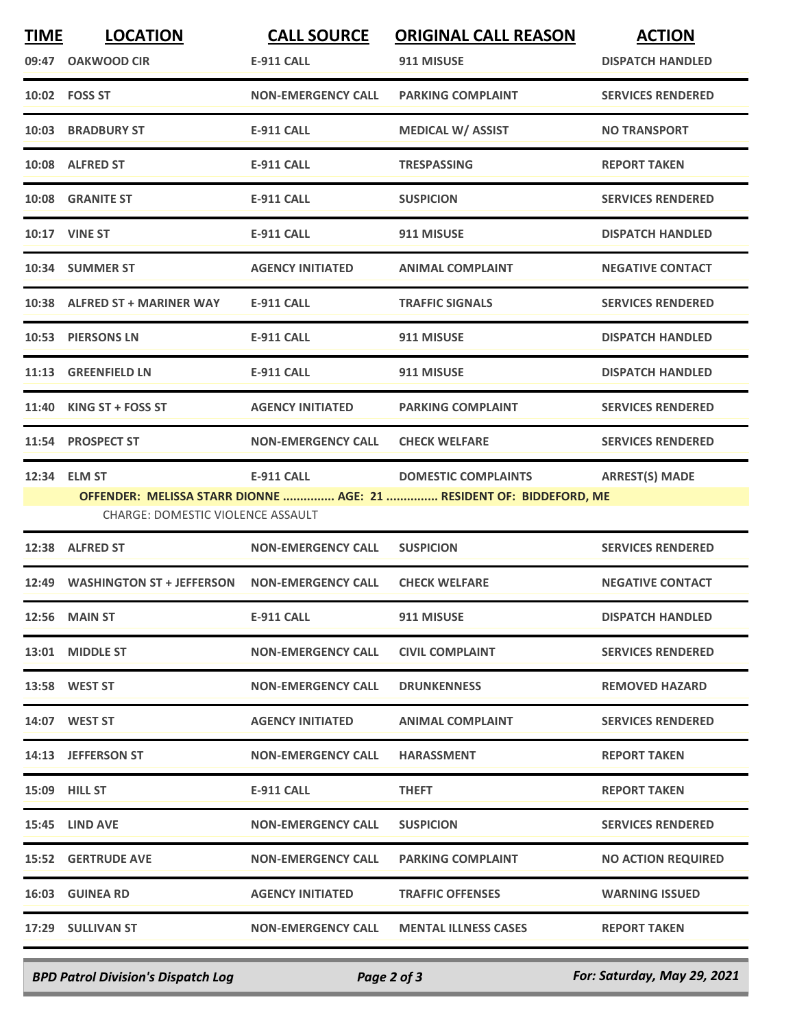| <b>TIME</b> | <b>LOCATION</b>                                    | <b>CALL SOURCE</b>        | <b>ORIGINAL CALL REASON</b>                                         | <b>ACTION</b>             |
|-------------|----------------------------------------------------|---------------------------|---------------------------------------------------------------------|---------------------------|
|             | 09:47 OAKWOOD CIR                                  | E-911 CALL                | 911 MISUSE                                                          | <b>DISPATCH HANDLED</b>   |
|             | 10:02    FOSS ST                                   | <b>NON-EMERGENCY CALL</b> | <b>PARKING COMPLAINT</b>                                            | <b>SERVICES RENDERED</b>  |
|             | 10:03 BRADBURY ST                                  | <b>E-911 CALL</b>         | <b>MEDICAL W/ ASSIST</b>                                            | <b>NO TRANSPORT</b>       |
|             | 10:08 ALFRED ST                                    | <b>E-911 CALL</b>         | <b>TRESPASSING</b>                                                  | <b>REPORT TAKEN</b>       |
|             | 10:08 GRANITE ST                                   | <b>E-911 CALL</b>         | <b>SUSPICION</b>                                                    | <b>SERVICES RENDERED</b>  |
|             | <b>10:17 VINE ST</b>                               | E-911 CALL                | 911 MISUSE                                                          | <b>DISPATCH HANDLED</b>   |
|             | 10:34 SUMMER ST                                    | <b>AGENCY INITIATED</b>   | <b>ANIMAL COMPLAINT</b>                                             | <b>NEGATIVE CONTACT</b>   |
|             | 10:38 ALFRED ST + MARINER WAY                      | <b>E-911 CALL</b>         | <b>TRAFFIC SIGNALS</b>                                              | <b>SERVICES RENDERED</b>  |
|             | 10:53 PIERSONS LN                                  | <b>E-911 CALL</b>         | 911 MISUSE                                                          | <b>DISPATCH HANDLED</b>   |
|             | 11:13 GREENFIELD LN                                | <b>E-911 CALL</b>         | 911 MISUSE                                                          | <b>DISPATCH HANDLED</b>   |
|             | 11:40 KING ST + FOSS ST                            | <b>AGENCY INITIATED</b>   | <b>PARKING COMPLAINT</b>                                            | <b>SERVICES RENDERED</b>  |
|             | 11:54 PROSPECT ST                                  | <b>NON-EMERGENCY CALL</b> | <b>CHECK WELFARE</b>                                                | <b>SERVICES RENDERED</b>  |
| 12:34       | <b>ELM ST</b>                                      | <b>E-911 CALL</b>         | <b>DOMESTIC COMPLAINTS</b>                                          | <b>ARREST(S) MADE</b>     |
|             |                                                    |                           | OFFENDER: MELISSA STARR DIONNE  AGE: 21  RESIDENT OF: BIDDEFORD, ME |                           |
|             | <b>CHARGE: DOMESTIC VIOLENCE ASSAULT</b>           |                           |                                                                     |                           |
|             | 12:38 ALFRED ST                                    | <b>NON-EMERGENCY CALL</b> | <b>SUSPICION</b>                                                    | <b>SERVICES RENDERED</b>  |
|             | 12:49 WASHINGTON ST + JEFFERSON NON-EMERGENCY CALL |                           | <b>CHECK WELFARE</b>                                                | <b>NEGATIVE CONTACT</b>   |
|             | <b>12:56 MAIN ST</b>                               | E-911 CALL                | 911 MISUSE                                                          | <b>DISPATCH HANDLED</b>   |
|             | 13:01 MIDDLE ST                                    | <b>NON-EMERGENCY CALL</b> | <b>CIVIL COMPLAINT</b>                                              | <b>SERVICES RENDERED</b>  |
|             | 13:58 WEST ST                                      | <b>NON-EMERGENCY CALL</b> | <b>DRUNKENNESS</b>                                                  | <b>REMOVED HAZARD</b>     |
|             | <b>14:07 WEST ST</b>                               | <b>AGENCY INITIATED</b>   | ANIMAL COMPLAINT                                                    | <b>SERVICES RENDERED</b>  |
|             | 14:13 JEFFERSON ST                                 | <b>NON-EMERGENCY CALL</b> | <b>HARASSMENT</b>                                                   | <b>REPORT TAKEN</b>       |
|             | <b>15:09 HILL ST</b>                               | E-911 CALL                | <b>THEFT</b>                                                        | <b>REPORT TAKEN</b>       |
|             | 15:45 LIND AVE                                     | <b>NON-EMERGENCY CALL</b> | <b>SUSPICION</b>                                                    | <b>SERVICES RENDERED</b>  |
|             | 15:52 GERTRUDE AVE                                 | <b>NON-EMERGENCY CALL</b> | <b>PARKING COMPLAINT</b>                                            | <b>NO ACTION REQUIRED</b> |
|             | <b>16:03 GUINEA RD</b>                             | <b>AGENCY INITIATED</b>   | <b>TRAFFIC OFFENSES</b>                                             | <b>WARNING ISSUED</b>     |
|             | 17:29 SULLIVAN ST                                  | <b>NON-EMERGENCY CALL</b> | <b>MENTAL ILLNESS CASES</b>                                         | <b>REPORT TAKEN</b>       |
|             |                                                    |                           |                                                                     |                           |

*BPD Patrol Division's Dispatch Log Page 2 of 3 For: Saturday, May 29, 2021*